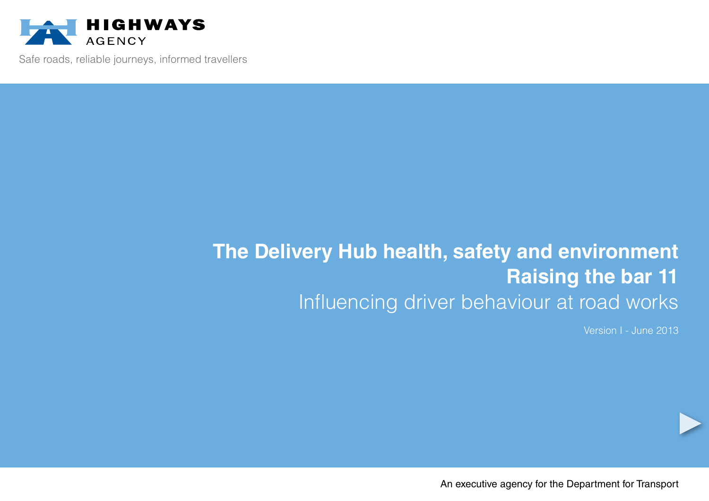

Safe roads, reliable journeys, informed travellers

# **The Delivery Hub health, safety and environment Raising the bar 11** Influencing driver behaviour at road works

Version I - June 2013

An executive agency for the Department for Transport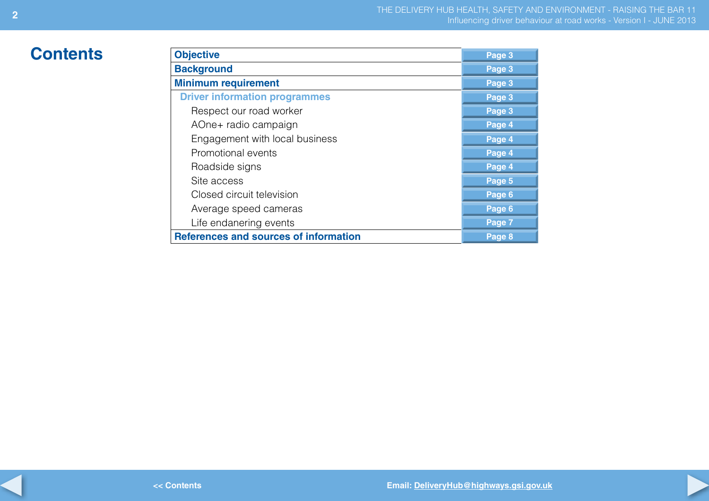# $$

**2**

| <b>Objective</b>                             | Page 3 |
|----------------------------------------------|--------|
| <b>Background</b>                            | Page 3 |
| <b>Minimum requirement</b>                   | Page 3 |
| <b>Driver information programmes</b>         | Page 3 |
| Respect our road worker                      | Page 3 |
| AOne+ radio campaign                         | Page 4 |
| Engagement with local business               | Page 4 |
| Promotional events                           | Page 4 |
| Roadside signs                               | Page 4 |
| Site access                                  | Page 5 |
| Closed circuit television                    | Page 6 |
| Average speed cameras                        | Page 6 |
| Life endanering events                       | Page 7 |
| <b>References and sources of information</b> | Page 8 |

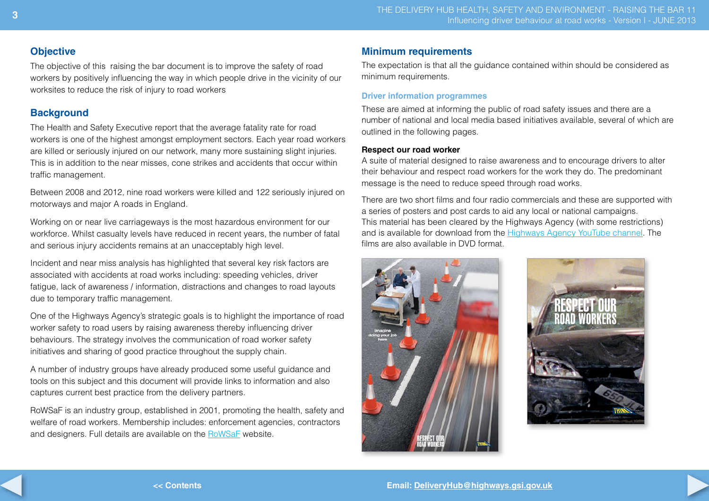# **Objective**

The objective of this raising the bar document is to improve the safety of road workers by positively influencing the way in which people drive in the vicinity of our worksites to reduce the risk of injury to road workers

# **Background**

The Health and Safety Executive report that the average fatality rate for road workers is one of the highest amongst employment sectors. Each year road workers are killed or seriously injured on our network, many more sustaining slight injuries. This is in addition to the near misses, cone strikes and accidents that occur within traffic management.

Between 2008 and 2012, nine road workers were killed and 122 seriously injured on motorways and major A roads in England.

Working on or near live carriageways is the most hazardous environment for our workforce. Whilst casualty levels have reduced in recent years, the number of fatal and serious injury accidents remains at an unacceptably high level.

Incident and near miss analysis has highlighted that several key risk factors are associated with accidents at road works including: speeding vehicles, driver fatigue, lack of awareness / information, distractions and changes to road layouts due to temporary traffic management.

One of the Highways Agency's strategic goals is to highlight the importance of road worker safety to road users by raising awareness thereby influencing driver behaviours. The strategy involves the communication of road worker safety initiatives and sharing of good practice throughout the supply chain.

A number of industry groups have already produced some useful guidance and tools on this subject and this document will provide links to information and also captures current best practice from the delivery partners.

RoWSaF is an industry group, established in 2001, promoting the health, safety and welfare of road workers. Membership includes: enforcement agencies, contractors and designers. Full details are available on the [RoWSaF](rowsaf.org.uk) website.

# **Minimum requirements**

The expectation is that all the guidance contained within should be considered as minimum requirements.

#### **Driver information programmes**

These are aimed at informing the public of road safety issues and there are a number of national and local media based initiatives available, several of which are outlined in the following pages.

#### **Respect our road worker**

A suite of material designed to raise awareness and to encourage drivers to alter their behaviour and respect road workers for the work they do. The predominant message is the need to reduce speed through road works.

There are two short films and four radio commercials and these are supported with a series of posters and post cards to aid any local or national campaigns. This material has been cleared by the Highways Agency (with some restrictions) and is available for download from the [Highways Agency YouTube c](http://www.highways.gov.uk/news/connect/youtube)hannel. The films are also available in DVD format.



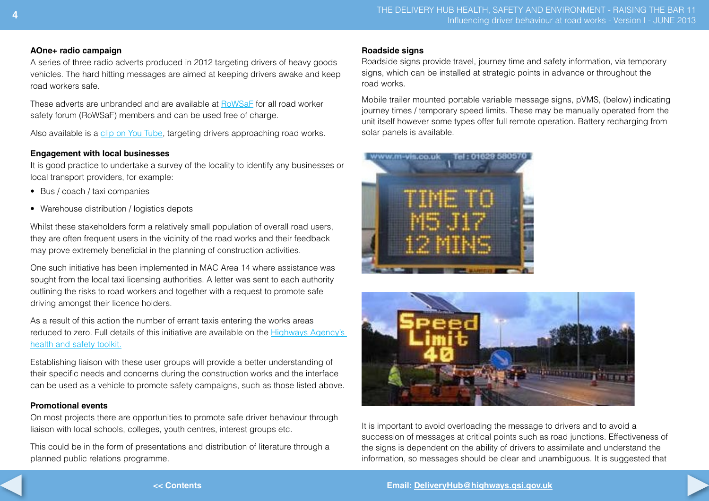#### **AOne+ radio campaign**

A series of three radio adverts produced in 2012 targeting drivers of heavy goods vehicles. The hard hitting messages are aimed at keeping drivers awake and keep road workers safe.

These adverts are unbranded and are available at [RoWSaF](rowsaf.org.uk) for all road worker safety forum (RoWSaF) members and can be used free of charge.

Also available is a [clip on You Tube](http://www.google.co.uk/#q=aone%2B+road+worker+safety+campaign&source=univ&tbm=vid&tbo=u&sa=X&ei=jM2lUdKXI8LO0QXDjYDYDQ&ved=0CFkQqwQ&bav=on.2,or.&fp=457b27e02c5613aa&biw=1024&bih=567), targeting drivers approaching road works.

## **Engagement with local businesses**

It is good practice to undertake a survey of the locality to identify any businesses or local transport providers, for example:

- Bus / coach / taxi companies
- Warehouse distribution / logistics depots

Whilst these stakeholders form a relatively small population of overall road users, they are often frequent users in the vicinity of the road works and their feedback may prove extremely beneficial in the planning of construction activities.

One such initiative has been implemented in MAC Area 14 where assistance was sought from the local taxi licensing authorities. A letter was sent to each authority outlining the risks to road workers and together with a request to promote safe driving amongst their licence holders.

As a result of this action the number of errant taxis entering the works areas reduced to zero. Full details of this initiative are available on the [Highways Agency's](http://partoneclaims.highways.dft.gov.uk/remotegadgets/ssr_toolkit_new/tk_list_hs.asp?alltips=1)  [health and safety toolkit.](http://partoneclaims.highways.dft.gov.uk/remotegadgets/ssr_toolkit_new/tk_list_hs.asp?alltips=1)

Establishing liaison with these user groups will provide a better understanding of their specific needs and concerns during the construction works and the interface can be used as a vehicle to promote safety campaigns, such as those listed above.

# **Promotional events**

On most projects there are opportunities to promote safe driver behaviour through liaison with local schools, colleges, youth centres, interest groups etc.

This could be in the form of presentations and distribution of literature through a planned public relations programme.

#### **Roadside signs**

Roadside signs provide travel, journey time and safety information, via temporary signs, which can be installed at strategic points in advance or throughout the road works.

Mobile trailer mounted portable variable message signs, pVMS, (below) indicating journey times / temporary speed limits. These may be manually operated from the unit itself however some types offer full remote operation. Battery recharging from solar panels is available.





It is important to avoid overloading the message to drivers and to avoid a succession of messages at critical points such as road junctions. Effectiveness of the signs is dependent on the ability of drivers to assimilate and understand the information, so messages should be clear and unambiguous. It is suggested that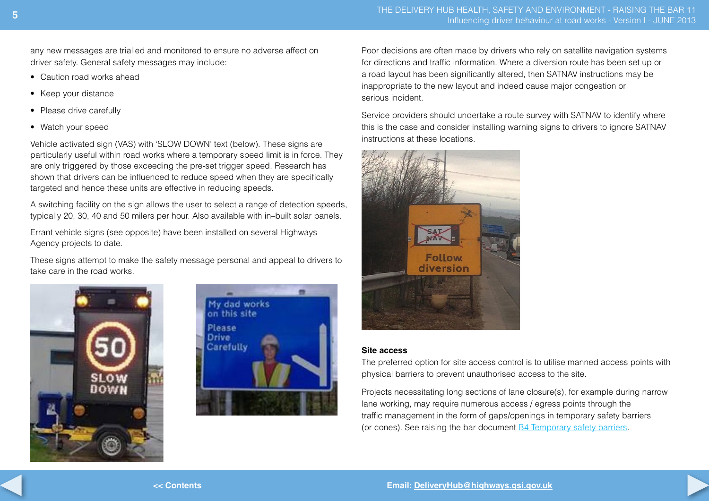any new messages are trialled and monitored to ensure no adverse affect on driver safety. General safety messages may include:

- Caution road works ahead
- Keep your distance
- Please drive carefully
- Watch your speed

Vehicle activated sign (VAS) with 'SLOW DOWN' text (below). These signs are particularly useful within road works where a temporary speed limit is in force. They are only triggered by those exceeding the pre-set trigger speed. Research has shown that drivers can be influenced to reduce speed when they are specifically targeted and hence these units are effective in reducing speeds.

A switching facility on the sign allows the user to select a range of detection speeds, typically 20, 30, 40 and 50 milers per hour. Also available with in–built solar panels.

Errant vehicle signs (see opposite) have been installed on several Highways Agency projects to date.

These signs attempt to make the safety message personal and appeal to drivers to take care in the road works.





Poor decisions are often made by drivers who rely on satellite navigation systems for directions and traffic information. Where a diversion route has been set up or a road layout has been significantly altered, then SATNAV instructions may be inappropriate to the new layout and indeed cause major congestion or serious incident.

Service providers should undertake a route survey with SATNAV to identify where this is the case and consider installing warning signs to drivers to ignore SATNAV instructions at these locations.



#### **Site access**

The preferred option for site access control is to utilise manned access points with physical barriers to prevent unauthorised access to the site.

Projects necessitating long sections of lane closure(s), for example during narrow lane working, may require numerous access / egress points through the traffic management in the form of gaps/openings in temporary safety barriers (or cones). See raising the bar document [B4 Temporary safety barriers.](http://www.highways.gov.uk/publications/major-projects-delivery-hub-health-safety-action-group/)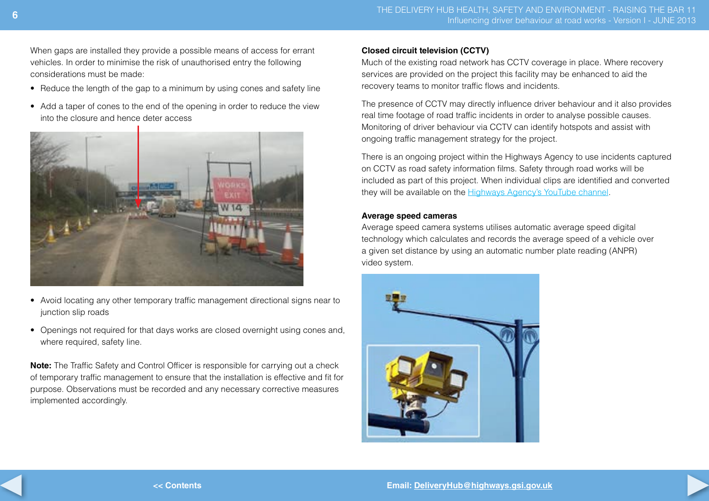When gaps are installed they provide a possible means of access for errant vehicles. In order to minimise the risk of unauthorised entry the following considerations must be made:

- Reduce the length of the gap to a minimum by using cones and safety line
- Add a taper of cones to the end of the opening in order to reduce the view into the closure and hence deter access



- Avoid locating any other temporary traffic management directional signs near to junction slip roads
- Openings not required for that days works are closed overnight using cones and, where required, safety line.

**Note:** The Traffic Safety and Control Officer is responsible for carrying out a check of temporary traffic management to ensure that the installation is effective and fit for purpose. Observations must be recorded and any necessary corrective measures implemented accordingly.

## **Closed circuit television (CCTV)**

Much of the existing road network has CCTV coverage in place. Where recovery services are provided on the project this facility may be enhanced to aid the recovery teams to monitor traffic flows and incidents.

The presence of CCTV may directly influence driver behaviour and it also provides real time footage of road traffic incidents in order to analyse possible causes. Monitoring of driver behaviour via CCTV can identify hotspots and assist with ongoing traffic management strategy for the project.

There is an ongoing project within the Highways Agency to use incidents captured on CCTV as road safety information films. Safety through road works will be included as part of this project. When individual clips are identified and converted they will be available on the **Highways [Agency's YouTube c](http://www.highways.gov.uk/news/connect/youtube)hannel**.

#### **Average speed cameras**

Average speed camera systems utilises automatic average speed digital technology which calculates and records the average speed of a vehicle over a given set distance by using an automatic number plate reading (ANPR) video system.



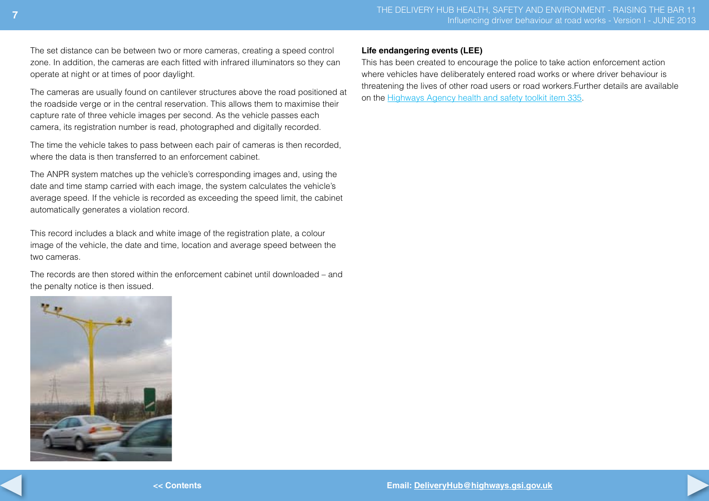The set distance can be between two or more cameras, creating a speed control zone. In addition, the cameras are each fitted with infrared illuminators so they can operate at night or at times of poor daylight.

The cameras are usually found on cantilever structures above the road positioned at the roadside verge or in the central reservation. This allows them to maximise their capture rate of three vehicle images per second. As the vehicle passes each camera, its registration number is read, photographed and digitally recorded.

The time the vehicle takes to pass between each pair of cameras is then recorded, where the data is then transferred to an enforcement cabinet

The ANPR system matches up the vehicle's corresponding images and, using the date and time stamp carried with each image, the system calculates the vehicle's average speed. If the vehicle is recorded as exceeding the speed limit, the cabinet automatically generates a violation record.

This record includes a black and white image of the registration plate, a colour image of the vehicle, the date and time, location and average speed between the two cameras.

The records are then stored within the enforcement cabinet until downloaded – and the penalty notice is then issued.



### **Life endangering events (LEE)**

This has been created to encourage the police to take action enforcement action where vehicles have deliberately entered road works or where driver behaviour is threatening the lives of other road users or road workers.Further details are available on the [Highways Agency health and safety toolkit item 335.](http://partoneclaims.highways.dft.gov.uk/remotegadgets/ssr_toolkit_new/tk_list_hs.asp?alltips=1)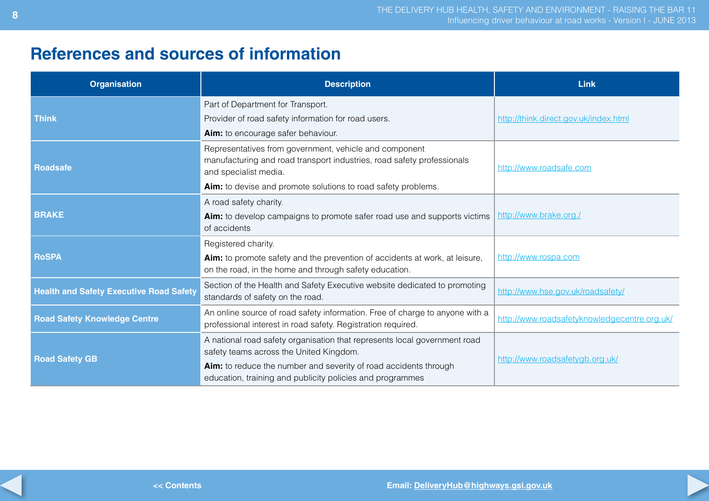# **References and sources of information**

| <b>Organisation</b>                            | <b>Description</b>                                                                                                                                                                                                                                    | Link                                         |
|------------------------------------------------|-------------------------------------------------------------------------------------------------------------------------------------------------------------------------------------------------------------------------------------------------------|----------------------------------------------|
| <b>Think</b>                                   | Part of Department for Transport.<br>Provider of road safety information for road users.<br>Aim: to encourage safer behaviour.                                                                                                                        | http://think.direct.gov.uk/index.html        |
| <b>Roadsafe</b>                                | Representatives from government, vehicle and component<br>manufacturing and road transport industries, road safety professionals<br>and specialist media.<br>Aim: to devise and promote solutions to road safety problems.                            | http://www.roadsafe.com                      |
| <b>BRAKE</b>                                   | A road safety charity.<br>Aim: to develop campaigns to promote safer road use and supports victims<br>of accidents                                                                                                                                    | http://www.brake.org./                       |
| <b>RoSPA</b>                                   | Registered charity.<br>Aim: to promote safety and the prevention of accidents at work, at leisure,<br>on the road, in the home and through safety education.                                                                                          | http://www.rospa.com                         |
| <b>Health and Safety Executive Road Safety</b> | Section of the Health and Safety Executive website dedicated to promoting<br>standards of safety on the road.                                                                                                                                         | http://www.hse.gov.uk/roadsafety/            |
| <b>Road Safety Knowledge Centre</b>            | An online source of road safety information. Free of charge to anyone with a<br>professional interest in road safety. Registration required.                                                                                                          | http://www.roadsafetyknowledgecentre.org.uk/ |
| <b>Road Safety GB</b>                          | A national road safety organisation that represents local government road<br>safety teams across the United Kingdom.<br>Aim: to reduce the number and severity of road accidents through<br>education, training and publicity policies and programmes | http://www.roadsafetygb.org.uk/              |



**<< Contents**